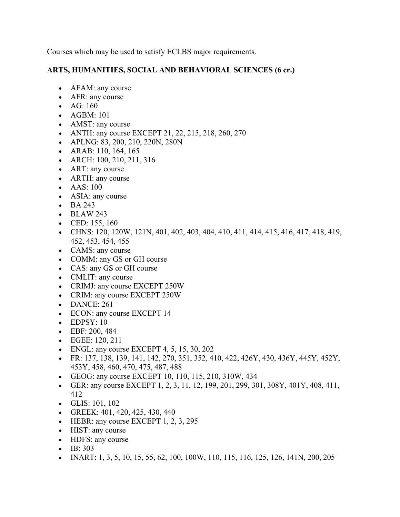Courses which may be used to satisfy ECLBS major requirements.

## **ARTS, HUMANITIES, SOCIAL AND BEHAVIORAL SCIENCES (6 cr.)**

- AFAM: any course
- AFR: any course
- AG: 160
- AGBM: 101
- AMST: any course
- ANTH: any course EXCEPT 21, 22, 215, 218, 260, 270
- APLNG: 83, 200, 210, 220N, 280N
- ARAB: 110, 164, 165
- ARCH: 100, 210, 211, 316
- ART: any course
- ARTH: any course
- AAS: 100
- ASIA: any course
- BA 243
- BLAW 243
- CED:  $155, 160$
- CHNS: 120, 120W, 121N, 401, 402, 403, 404, 410, 411, 414, 415, 416, 417, 418, 419, 452, 453, 454, 455
- CAMS: any course
- COMM: any GS or GH course
- CAS: any GS or GH course
- CMLIT: any course
- CRIMJ: any course EXCEPT 250W
- CRIM: any course EXCEPT 250W
- DANCE: 261
- ECON: any course EXCEPT 14
- EDPSY: 10
- EBF: 200, 484
- EGEE: 120, 211
- ENGL: any course EXCEPT  $4, 5, 15, 30, 202$
- FR: 137, 138, 139, 141, 142, 270, 351, 352, 410, 422, 426Y, 430, 436Y, 445Y, 452Y, 453Y, 458, 460, 470, 475, 487, 488
- GEOG: any course EXCEPT 10, 110, 115, 210, 310W, 434
- GER: any course EXCEPT 1, 2, 3, 11, 12, 199, 201, 299, 301, 308Y, 401Y, 408, 411, 412
- GLIS: 101, 102
- GREEK: 401, 420, 425, 430, 440
- HEBR: any course EXCEPT 1, 2, 3, 295
- HIST: any course
- HDFS: any course
- IB: 303
- INART: 1, 3, 5, 10, 15, 55, 62, 100, 100W, 110, 115, 116, 125, 126, 141N, 200, 205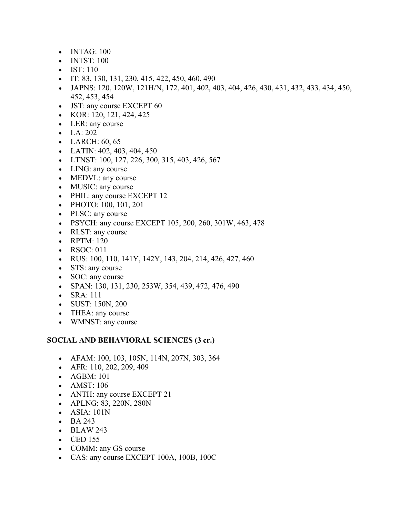- INTAG: 100
- INTST: 100
- IST: 110
- IT: 83, 130, 131, 230, 415, 422, 450, 460, 490
- JAPNS: 120, 120W, 121H/N, 172, 401, 402, 403, 404, 426, 430, 431, 432, 433, 434, 450, 452, 453, 454
- JST: any course EXCEPT 60
- KOR: 120, 121, 424, 425
- LER: any course
- LA: 202
- LARCH: 60, 65
- LATIN: 402, 403, 404, 450
- LTNST: 100, 127, 226, 300, 315, 403, 426, 567
- LING: any course
- MEDVL: any course
- MUSIC: any course
- PHIL: any course EXCEPT 12
- PHOTO: 100, 101, 201
- PLSC: any course
- PSYCH: any course EXCEPT 105, 200, 260, 301W, 463, 478
- RLST: any course
- RPTM: 120
- RSOC:  $011$
- RUS: 100, 110, 141Y, 142Y, 143, 204, 214, 426, 427, 460
- STS: any course
- SOC: any course
- SPAN: 130, 131, 230, 253W, 354, 439, 472, 476, 490
- SRA: 111
- SUST: 150N, 200
- THEA: any course
- WMNST: any course

## **SOCIAL AND BEHAVIORAL SCIENCES (3 cr.)**

- AFAM: 100, 103, 105N, 114N, 207N, 303, 364
- AFR:  $110, 202, 209, 409$
- AGBM: 101
- AMST: 106
- ANTH: any course EXCEPT 21
- APLNG: 83, 220N, 280N
- ASIA: 101N
- BA 243
- BLAW 243
- CED 155
- COMM: any GS course
- CAS: any course EXCEPT 100A, 100B, 100C